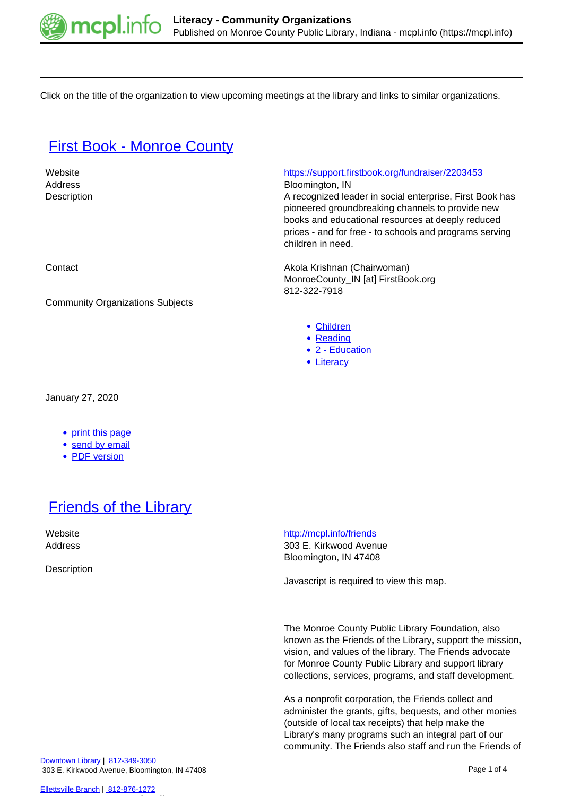

Click on the title of the organization to view upcoming meetings at the library and links to similar organizations.

#### **[First Book - Monroe County](https://mcpl.info/commorg/first-book-monroe-county)**

Address Bloomington, IN

Website <https://support.firstbook.org/fundraiser/2203453>

Description **A recognized leader in social enterprise**, First Book has pioneered groundbreaking channels to provide new books and educational resources at deeply reduced prices - and for free - to schools and programs serving children in need.

Contact **Akola Krishnan (Chairwoman) Contact** Akola Krishnan (Chairwoman) MonroeCounty\_IN [at] FirstBook.org 812-322-7918

- [Children](https://mcpl.info/taxonomy/term/24959)
- [Reading](https://mcpl.info/taxonomy/term/25037)
- [2 Education](https://mcpl.info/community-organization-subjects/24947)
- [Literacy](https://mcpl.info/taxonomy/term/24973)

Community Organizations Subjects

January 27, 2020

- [print this page](https://mcpl.info/print/commorg/first-book-monroe-county)
- [send by email](https://mcpl.info/printmail/commorg/first-book-monroe-county)
- [PDF version](https://mcpl.info/printpdf/commorg/first-book-monroe-county)

## **[Friends of the Library](https://mcpl.info/commorg/friends-library)**

**Description** 

Website **<http://mcpl.info/friends>** Address 303 E. Kirkwood Avenue Bloomington, IN 47408

Javascript is required to view this map.

The Monroe County Public Library Foundation, also known as the Friends of the Library, support the mission, vision, and values of the library. The Friends advocate for Monroe County Public Library and support library collections, services, programs, and staff development.

As a nonprofit corporation, the Friends collect and administer the grants, gifts, bequests, and other monies (outside of local tax receipts) that help make the Library's many programs such an integral part of our community. The Friends also staff and run the Friends of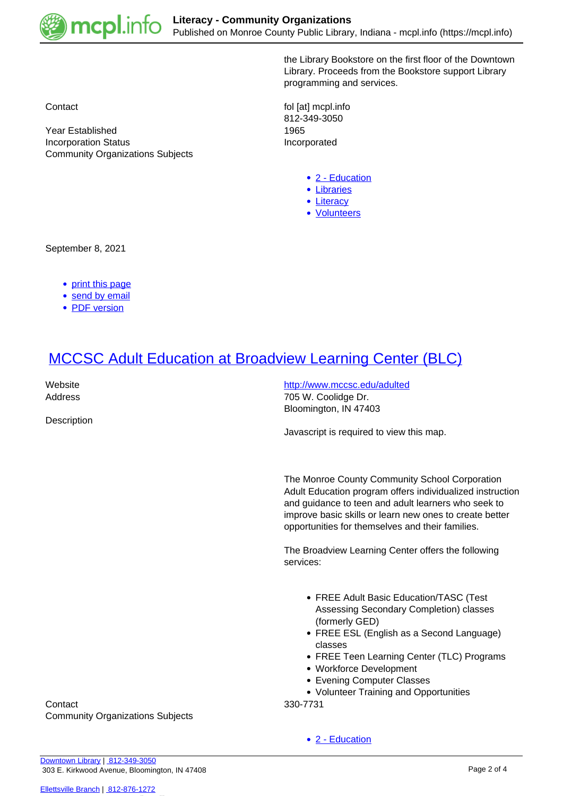

Community Organizations Subjects

the Library Bookstore on the first floor of the Downtown Library. Proceeds from the Bookstore support Library programming and services.

Contact **following** contact **following** contact **following** contact **following** contact **following** contact **following** contact **following** contact **following** contact **following** contact **following** contact **following** co 812-349-3050 Year Established 1965 Incorporation Status **Incorporated** 

- [2 Education](https://mcpl.info/community-organization-subjects/24947)
- · [Libraries](https://mcpl.info/taxonomy/term/24972)
- [Literacy](https://mcpl.info/taxonomy/term/24973)
- [Volunteers](https://mcpl.info/taxonomy/term/25007)

September 8, 2021

- [print this page](https://mcpl.info/print/commorg/friends-library)
- [send by email](https://mcpl.info/printmail/commorg/friends-library)
- [PDF version](https://mcpl.info/printpdf/commorg/friends-library)

# [MCCSC Adult Education at Broadview Learning Center \(BLC\)](https://mcpl.info/commorg/mccsc-adult-education-broadview-learning-center-blc)

**Description** 

Website **<http://www.mccsc.edu/adulted>** Address **705 W. Coolidge Dr.** Bloomington, IN 47403

Javascript is required to view this map.

The Monroe County Community School Corporation Adult Education program offers individualized instruction and guidance to teen and adult learners who seek to improve basic skills or learn new ones to create better opportunities for themselves and their families.

The Broadview Learning Center offers the following services:

- FREE Adult Basic Education/TASC (Test Assessing Secondary Completion) classes (formerly GED)
- FREE ESL (English as a Second Language) classes
- FREE Teen Learning Center (TLC) Programs
- Workforce Development
- Evening Computer Classes
- Volunteer Training and Opportunities

• [2 - Education](https://mcpl.info/community-organization-subjects/24947)

Contact 330-7731 Community Organizations Subjects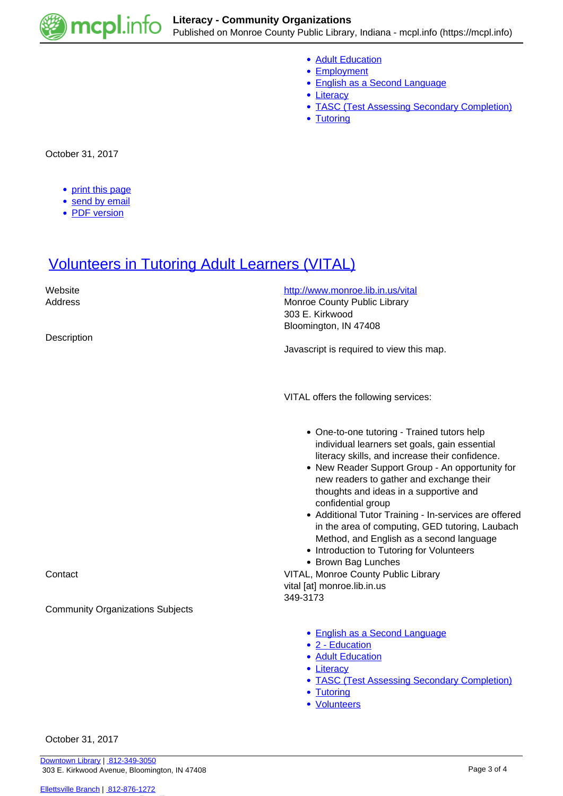

- [Adult Education](https://mcpl.info/taxonomy/term/24955)
- [Employment](https://mcpl.info/community-organization-subjects/employment)
- [English as a Second Language](https://mcpl.info/community-organization-subjects/english-second-language)
- [Literacy](https://mcpl.info/taxonomy/term/24973)
- [TASC \(Test Assessing Secondary Completion\)](https://mcpl.info/taxonomy/term/24986)
- [Tutoring](https://mcpl.info/taxonomy/term/24988)

October 31, 2017

- [print this page](https://mcpl.info/print/commorg/mccsc-adult-education-broadview-learning-center-blc)
- [send by email](https://mcpl.info/printmail/commorg/mccsc-adult-education-broadview-learning-center-blc)
- [PDF version](https://mcpl.info/printpdf/commorg/mccsc-adult-education-broadview-learning-center-blc)

### **[Volunteers in Tutoring Adult Learners \(VITAL\)](https://mcpl.info/commorg/volunteers-tutoring-adult-learners-vital)**

| Website<br>Address<br>Description                  | http://www.monroe.lib.in.us/vital<br>Monroe County Public Library<br>303 E. Kirkwood<br>Bloomington, IN 47408<br>Javascript is required to view this map.                                                                                                                                                                                                                                                                                                                                                                                                                                                                    |
|----------------------------------------------------|------------------------------------------------------------------------------------------------------------------------------------------------------------------------------------------------------------------------------------------------------------------------------------------------------------------------------------------------------------------------------------------------------------------------------------------------------------------------------------------------------------------------------------------------------------------------------------------------------------------------------|
|                                                    | VITAL offers the following services:                                                                                                                                                                                                                                                                                                                                                                                                                                                                                                                                                                                         |
| Contact<br><b>Community Organizations Subjects</b> | • One-to-one tutoring - Trained tutors help<br>individual learners set goals, gain essential<br>literacy skills, and increase their confidence.<br>• New Reader Support Group - An opportunity for<br>new readers to gather and exchange their<br>thoughts and ideas in a supportive and<br>confidential group<br>• Additional Tutor Training - In-services are offered<br>in the area of computing, GED tutoring, Laubach<br>Method, and English as a second language<br>• Introduction to Tutoring for Volunteers<br>• Brown Bag Lunches<br>VITAL, Monroe County Public Library<br>vital [at] monroe.lib.in.us<br>349-3173 |
|                                                    | • English as a Second Language<br>• 2 - Education                                                                                                                                                                                                                                                                                                                                                                                                                                                                                                                                                                            |
|                                                    | • Adult Education<br>• Literacy<br>• TASC (Test Assessing Secondary Completion)<br>• Tutoring<br>• Volunteers                                                                                                                                                                                                                                                                                                                                                                                                                                                                                                                |
| October 31, 2017                                   |                                                                                                                                                                                                                                                                                                                                                                                                                                                                                                                                                                                                                              |

[Downtown Library](https://mcpl.info/geninfo/downtown-library) | [812-349-3050](tel:812-349-3050) 303 E. Kirkwood Avenue, Bloomington, IN 47408